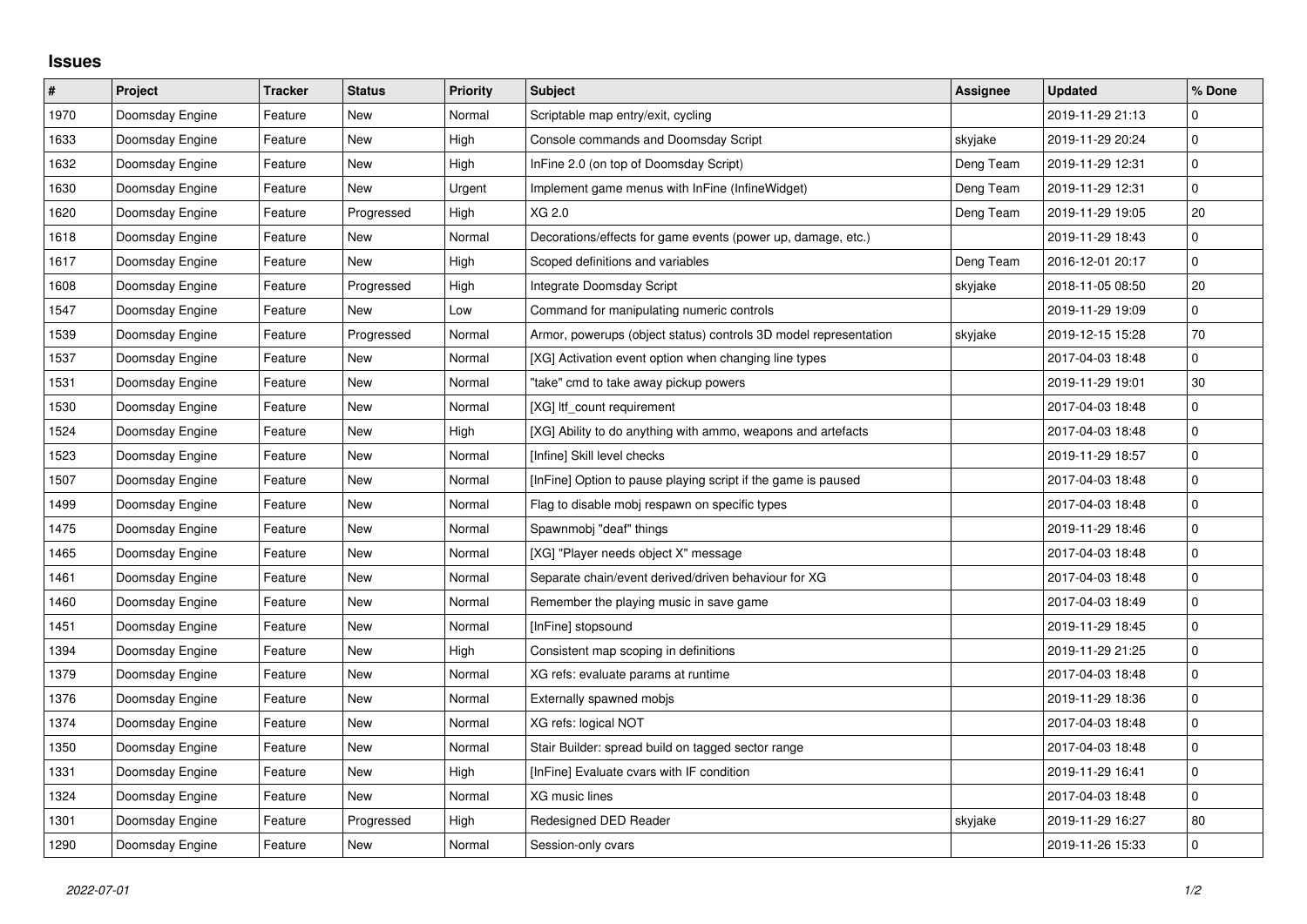## **Issues**

| $\vert$ # | Project         | <b>Tracker</b> | <b>Status</b> | <b>Priority</b> | <b>Subject</b>                                                   | Assignee  | <b>Updated</b>   | % Done         |
|-----------|-----------------|----------------|---------------|-----------------|------------------------------------------------------------------|-----------|------------------|----------------|
| 1970      | Doomsday Engine | Feature        | <b>New</b>    | Normal          | Scriptable map entry/exit, cycling                               |           | 2019-11-29 21:13 | $\mathbf 0$    |
| 1633      | Doomsday Engine | Feature        | New           | High            | Console commands and Doomsday Script                             | skyjake   | 2019-11-29 20:24 | $\mathsf 0$    |
| 1632      | Doomsday Engine | Feature        | <b>New</b>    | High            | InFine 2.0 (on top of Doomsday Script)                           | Deng Team | 2019-11-29 12:31 | 0              |
| 1630      | Doomsday Engine | Feature        | <b>New</b>    | Urgent          | Implement game menus with InFine (InfineWidget)                  | Deng Team | 2019-11-29 12:31 | $\overline{0}$ |
| 1620      | Doomsday Engine | Feature        | Progressed    | High            | XG 2.0                                                           | Deng Team | 2019-11-29 19:05 | 20             |
| 1618      | Doomsday Engine | Feature        | <b>New</b>    | Normal          | Decorations/effects for game events (power up, damage, etc.)     |           | 2019-11-29 18:43 | $\mathbf 0$    |
| 1617      | Doomsday Engine | Feature        | <b>New</b>    | High            | Scoped definitions and variables                                 | Deng Team | 2016-12-01 20:17 | $\overline{0}$ |
| 1608      | Doomsday Engine | Feature        | Progressed    | High            | Integrate Doomsday Script                                        | skyjake   | 2018-11-05 08:50 | 20             |
| 1547      | Doomsday Engine | Feature        | <b>New</b>    | Low             | Command for manipulating numeric controls                        |           | 2019-11-29 19:09 | 0              |
| 1539      | Doomsday Engine | Feature        | Progressed    | Normal          | Armor, powerups (object status) controls 3D model representation | skyjake   | 2019-12-15 15:28 | 70             |
| 1537      | Doomsday Engine | Feature        | <b>New</b>    | Normal          | [XG] Activation event option when changing line types            |           | 2017-04-03 18:48 | $\mathbf{0}$   |
| 1531      | Doomsday Engine | Feature        | New           | Normal          | "take" cmd to take away pickup powers                            |           | 2019-11-29 19:01 | 30             |
| 1530      | Doomsday Engine | Feature        | <b>New</b>    | Normal          | [XG] Itf count requirement                                       |           | 2017-04-03 18:48 | $\overline{0}$ |
| 1524      | Doomsday Engine | Feature        | <b>New</b>    | High            | [XG] Ability to do anything with ammo, weapons and artefacts     |           | 2017-04-03 18:48 | $\overline{0}$ |
| 1523      | Doomsday Engine | Feature        | New           | Normal          | [Infine] Skill level checks                                      |           | 2019-11-29 18:57 | $\mathbf 0$    |
| 1507      | Doomsday Engine | Feature        | New           | Normal          | [InFine] Option to pause playing script if the game is paused    |           | 2017-04-03 18:48 | $\overline{0}$ |
| 1499      | Doomsday Engine | Feature        | <b>New</b>    | Normal          | Flag to disable mobj respawn on specific types                   |           | 2017-04-03 18:48 | $\overline{0}$ |
| 1475      | Doomsday Engine | Feature        | <b>New</b>    | Normal          | Spawnmobj "deaf" things                                          |           | 2019-11-29 18:46 | $\mathbf 0$    |
| 1465      | Doomsday Engine | Feature        | <b>New</b>    | Normal          | [XG] "Player needs object X" message                             |           | 2017-04-03 18:48 | $\overline{0}$ |
| 1461      | Doomsday Engine | Feature        | New           | Normal          | Separate chain/event derived/driven behaviour for XG             |           | 2017-04-03 18:48 | $\overline{0}$ |
| 1460      | Doomsday Engine | Feature        | <b>New</b>    | Normal          | Remember the playing music in save game                          |           | 2017-04-03 18:49 | $\mathbf 0$    |
| 1451      | Doomsday Engine | Feature        | <b>New</b>    | Normal          | [InFine] stopsound                                               |           | 2019-11-29 18:45 | $\overline{0}$ |
| 1394      | Doomsday Engine | Feature        | <b>New</b>    | High            | Consistent map scoping in definitions                            |           | 2019-11-29 21:25 | $\overline{0}$ |
| 1379      | Doomsday Engine | Feature        | <b>New</b>    | Normal          | XG refs: evaluate params at runtime                              |           | 2017-04-03 18:48 | $\overline{0}$ |
| 1376      | Doomsday Engine | Feature        | <b>New</b>    | Normal          | Externally spawned mobjs                                         |           | 2019-11-29 18:36 | $\overline{0}$ |
| 1374      | Doomsday Engine | Feature        | New           | Normal          | XG refs: logical NOT                                             |           | 2017-04-03 18:48 | $\overline{0}$ |
| 1350      | Doomsday Engine | Feature        | New           | Normal          | Stair Builder: spread build on tagged sector range               |           | 2017-04-03 18:48 | $\overline{0}$ |
| 1331      | Doomsday Engine | Feature        | <b>New</b>    | High            | [InFine] Evaluate cvars with IF condition                        |           | 2019-11-29 16:41 | $\mathbf{0}$   |
| 1324      | Doomsday Engine | Feature        | <b>New</b>    | Normal          | XG music lines                                                   |           | 2017-04-03 18:48 | $\mathbf 0$    |
| 1301      | Doomsday Engine | Feature        | Progressed    | High            | Redesigned DED Reader                                            | skyjake   | 2019-11-29 16:27 | 80             |
| 1290      | Doomsday Engine | Feature        | New           | Normal          | Session-only cvars                                               |           | 2019-11-26 15:33 | $\mathbf 0$    |